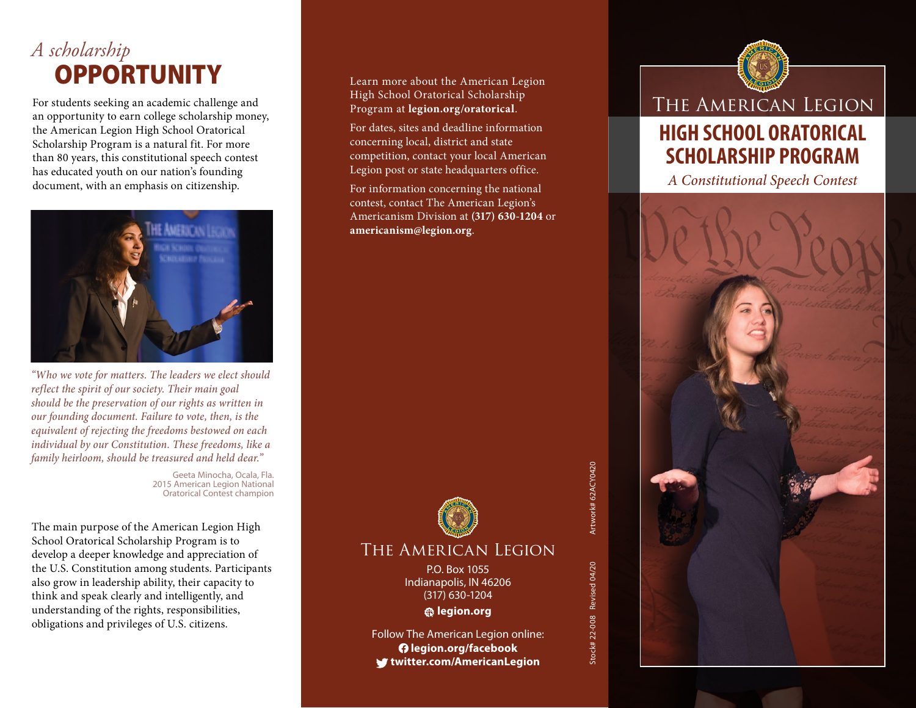# *A scholarship* **OPPORTUNITY**

For students seeking an academic challenge and an opportunity to earn college scholarship money, the American Legion High School Oratorical Scholarship Program is a natural fit. For more than 80 years, this constitutional speech contest has educated youth on our nation's founding document, with an emphasis on citizenship.



*"Who we vote for matters. The leaders we elect should reflect the spirit of our society. Their main goal should be the preservation of our rights as written in our founding document. Failure to vote, then, is the equivalent of rejecting the freedoms bestowed on each individual by our Constitution. These freedoms, like a family heirloom, should be treasured and held dear."*

> Geeta Minocha, Ocala, Fla. 2015 American Legion National Oratorical Contest champion

The main purpose of the American Legion High School Oratorical Scholarship Program is to develop a deeper knowledge and appreciation of the U.S. Constitution among students. Participants also grow in leadership ability, their capacity to think and speak clearly and intelligently, and understanding of the rights, responsibilities, obligations and privileges of U.S. citizens.

Learn more about the American Legion High School Oratorical Scholarship Program at **legion.org/oratorical**.

For dates, sites and deadline information concerning local, district and state competition, contact your local American Legion post or state headquarters office.

For information concerning the national contest, contact The American Legion's Americanism Division at **(317) 630-1204** or **americanism@legion.org**.



#### The American Legion

P.O. Box 1055 Indianapolis, IN 46206 (317) 630-1204 **legion.org**

Follow The American Legion online:  **legion.org/facebook twitter.com/AmericanLegion**

The American Legion **HIGH SCHOOL ORATORICAL SCHOLARSHIP PROGRAM** *A Constitutional Speech Contest*

Artwork# 62ACY0420 Stock# 22-008 Revised 04/20 Artwork# 62ACY0420 Revised 04/20 Stock# 22-008